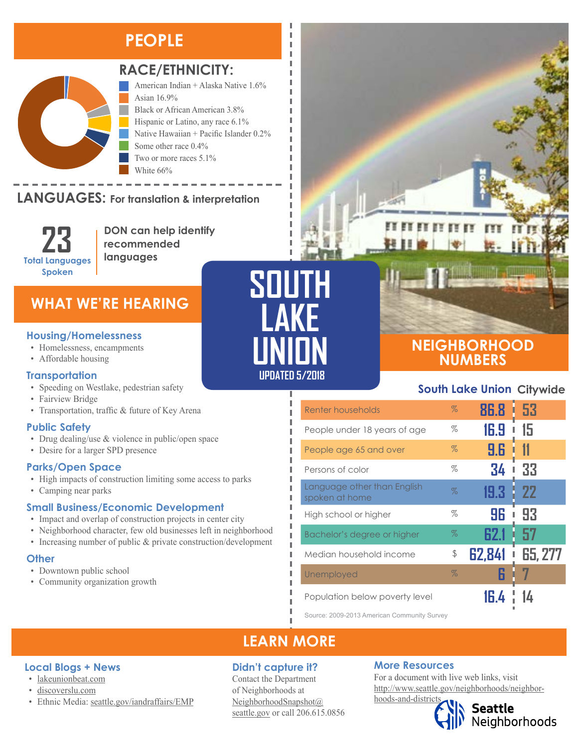# **PEOPLE**



### **RACE/ETHNICITY:**

American Indian + Alaska Native 1.6% Asian 16.9% Black or African American 3.8% Hispanic or Latino, any race 6.1%

Native Hawaiian + Pacific Islander 0.2% Some other race 0.4% Two or more races 5.1% White 66%

#### **LANGUAGES:** For translation & interpretation  $\sim$   $\sim$   $\sim$   $\sim$   $\sim$   $\sim$   $\sim$



Black or African American Hispanic or Latino, any race

**DON can help identify recommended languages**

## **WHAT WE'RE HEARING**

- Homelessness, encampments
- Affordable housing

#### **Transportation**

- Speeding on Westlake, pedestrian safety
- Fairview Bridge
- Transportation, traffic & future of Key Arena

#### **Public Safety**

- Drug dealing/use & violence in public/open space
- Desire for a larger SPD presence

#### **Parks/Open Space**

- High impacts of construction limiting some access to parks
- Camping near parks

#### **Small Business/Economic Development**

- Impact and overlap of construction projects in center city
- Neighborhood character, few old businesses left in neighborhood
- Increasing number of public & private construction/development

#### **Other**

- Downtown public school
- Community organization growth



л I Л л



 $n$  for form  $n$ 

### **NEIGHBORHOOD NUMBERS**

### **South Lake Union Citywide**

| Renter households                             | $\%$ | 86.8   | -53       |
|-----------------------------------------------|------|--------|-----------|
| People under 18 years of age                  | %    | 16.9   | 15        |
| People age 65 and over                        | $\%$ | 9.6    |           |
| Persons of color                              | %    | 34     | 33        |
| Language other than English<br>spoken at home | $\%$ | 19.3   | <b>22</b> |
| High school or higher                         | %    | 96     | 93        |
| Bachelor's degree or higher                   | $\%$ | 62.1   | 57        |
| Median household income                       | \$   | 62,841 | 65, 277   |
| Unemployed                                    | $\%$ |        |           |
| Population below poverty level                |      |        |           |

Source: 2009-2013 American Community Survey

## **LEARN MORE**

#### **Didn't capture it?**

Contact the Department of Neighborhoods at [NeighborhoodSnapshot@](mailto:NeighborhoodSnapshot%40%0Aseattle.gov?subject=) [seattle.gov](mailto:NeighborhoodSnapshot%40%0Aseattle.gov?subject=) or call 206.615.0856

#### **More Resources**

For a document with live web links, visit [http://www.seattle.gov/neighborhoods/neighbor](http://www.seattle.gov/neighborhoods/neighborhoods-and-districts)[hoods-and-districts](http://www.seattle.gov/neighborhoods/neighborhoods-and-districts)

# Seattle<br>Neighborhoods

#### **Local Blogs + News**

- [lakeunionbeat.com](http://lakeunionbeat.com/)
- [discoverslu.com](https://www.discoverslu.com)
- Ethnic Media: [seattle.gov/iandraffairs/EMP](http://www.seattle.gov/iandraffairs/EMP)